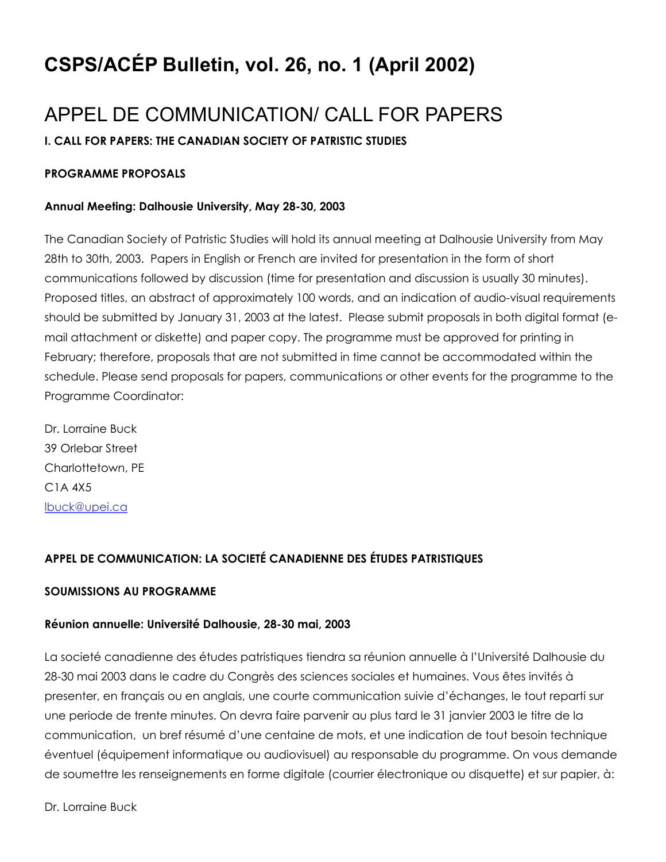# CSPS/ACÉP Bulletin, vol. 26, no. 1 (April 2002)

# APPEL DE COMMUNICATION/ CALL FOR PAPERS

# I. CALL FOR PAPERS: THE CANADIAN SOCIETY OF PATRISTIC STUDIES

### PROGRAMME PROPOSALS

### Annual Meeting: Dalhousie University, May 28-30, 2003

The Canadian Society of Patristic Studies will hold its annual meeting at Dalhousie University from May 28th to 30th, 2003. Papers in English or French are invited for presentation in the form of short communications followed by discussion (time for presentation and discussion is usually 30 minutes). Proposed titles, an abstract of approximately 100 words, and an indication of audio-visual requirements should be submitted by January 31, 2003 at the latest. Please submit proposals in both digital format (email attachment or diskette) and paper copy. The programme must be approved for printing in February; therefore, proposals that are not submitted in time cannot be accommodated within the schedule. Please send proposals for papers, communications or other events for the programme to the Programme Coordinator:

Dr. Lorraine Buck 39 Orlebar Street Charlottetown, PE C1A 4X5 [lbuck@upei.ca](mailto:lbuck@upei.ca)

# APPEL DE COMMUNICATION: LA SOCIETÉ CANADIENNE DES ÉTUDES PATRISTIQUES

### SOUMISSIONS AU PROGRAMME

### Réunion annuelle: Université Dalhousie, 28-30 mai, 2003

La societé canadienne des études patristiques tiendra sa réunion annuelle à l'Université Dalhousie du 28-30 mai 2003 dans le cadre du Congrès des sciences sociales et humaines. Vous êtes invités à presenter, en français ou en anglais, une courte communication suivie d'échanges, le tout reparti sur une periode de trente minutes. On devra faire parvenir au plus tard le 31 janvier 2003 le titre de la communication, un bref résumé d'une centaine de mots, et une indication de tout besoin technique éventuel (équipement informatique ou audiovisuel) au responsable du programme. On vous demande de soumettre les renseignements en forme digitale (courrier électronique ou disquette) et sur papier, à:

Dr. Lorraine Buck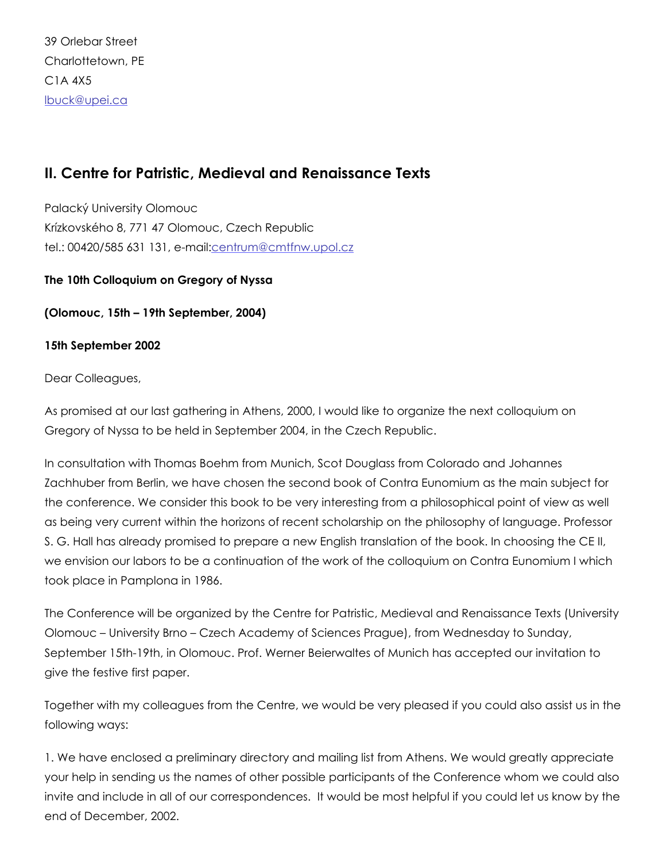39 Orlebar Street Charlottetown, PE C1A 4X5 [lbuck@upei.ca](mailto:lbuck@upei.ca)

# II. Centre for Patristic, Medieval and Renaissance Texts

Palacký University Olomouc Krízkovského 8, 771 47 Olomouc, Czech Republic tel.: 00420/585 631 131, email[:centrum@cmtfnw.upol.cz](mailto:centrum@cmtfnw.upol.cz)

### The 10th Colloquium on Gregory of Nyssa

(Olomouc, 15th – 19th September, 2004)

### 15th September 2002

Dear Colleagues,

As promised at our last gathering in Athens, 2000, I would like to organize the next colloquium on Gregory of Nyssa to be held in September 2004, in the Czech Republic.

In consultation with Thomas Boehm from Munich, Scot Douglass from Colorado and Johannes Zachhuber from Berlin, we have chosen the second book of Contra Eunomium as the main subject for the conference. We consider this book to be very interesting from a philosophical point of view as well as being very current within the horizons of recent scholarship on the philosophy of language. Professor S. G. Hall has already promised to prepare a new English translation of the book. In choosing the CE II, we envision our labors to be a continuation of the work of the colloquium on Contra Eunomium I which took place in Pamplona in 1986.

The Conference will be organized by the Centre for Patristic, Medieval and Renaissance Texts (University Olomouc – University Brno – Czech Academy of Sciences Prague), from Wednesday to Sunday, September 15th-19th, in Olomouc. Prof. Werner Beierwaltes of Munich has accepted our invitation to give the festive first paper.

Together with my colleagues from the Centre, we would be very pleased if you could also assist us in the following ways:

1. We have enclosed a preliminary directory and mailing list from Athens. We would greatly appreciate your help in sending us the names of other possible participants of the Conference whom we could also invite and include in all of our correspondences. It would be most helpful if you could let us know by the end of December, 2002.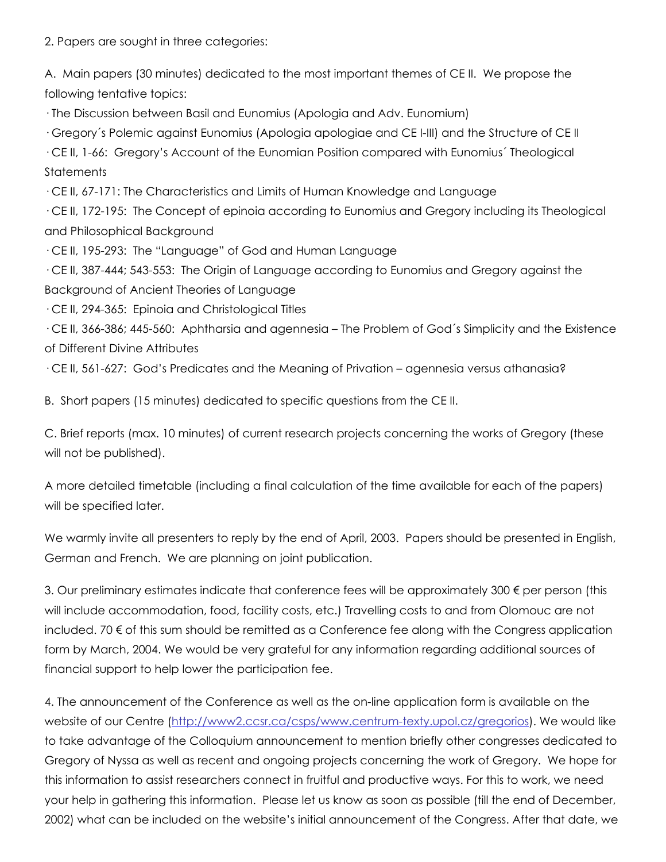2. Papers are sought in three categories:

A. Main papers (30 minutes) dedicated to the most important themes of CE II. We propose the following tentative topics:

· The Discussion between Basil and Eunomius (Apologia and Adv. Eunomium)

· Gregory´s Polemic against Eunomius (Apologia apologiae and CE IIII) and the Structure of CE II

· CE II, 166: Gregory's Account of the Eunomian Position compared with Eunomius´ Theological **Statements** 

· CE II, 67171: The Characteristics and Limits of Human Knowledge and Language

· CE II, 172195: The Concept of epinoia according to Eunomius and Gregory including its Theological and Philosophical Background

· CE II, 195293: The "Language" of God and Human Language

· CE II, 387444; 543553: The Origin of Language according to Eunomius and Gregory against the Background of Ancient Theories of Language

 $\cdot$  CE II, 294-365: Epinoia and Christological Titles

· CE II, 366386; 445560: Aphtharsia and agennesia – The Problem of God´s Simplicity and the Existence of Different Divine Attributes

 $\cdot$  CE II, 561-627: God's Predicates and the Meaning of Privation – agennesia versus athanasia?

B. Short papers (15 minutes) dedicated to specific questions from the CE II.

C. Brief reports (max. 10 minutes) of current research projects concerning the works of Gregory (these will not be published).

A more detailed timetable (including a final calculation of the time available for each of the papers) will be specified later.

We warmly invite all presenters to reply by the end of April, 2003. Papers should be presented in English, German and French. We are planning on joint publication.

3. Our preliminary estimates indicate that conference fees will be approximately 300 € per person (this will include accommodation, food, facility costs, etc.) Travelling costs to and from Olomouc are not included. 70 € of this sum should be remitted as a Conference fee along with the Congress application form by March, 2004. We would be very grateful for any information regarding additional sources of financial support to help lower the participation fee.

4. The announcement of the Conference as well as the on-line application form is available on the website of our Centre (http://www2.ccsr.ca/csps/www.centrum-texty.upol.cz/gregorios). We would like to take advantage of the Colloquium announcement to mention briefly other congresses dedicated to Gregory of Nyssa as well as recent and ongoing projects concerning the work of Gregory. We hope for this information to assist researchers connect in fruitful and productive ways. For this to work, we need your help in gathering this information. Please let us know as soon as possible (till the end of December, 2002) what can be included on the website's initial announcement of the Congress. After that date, we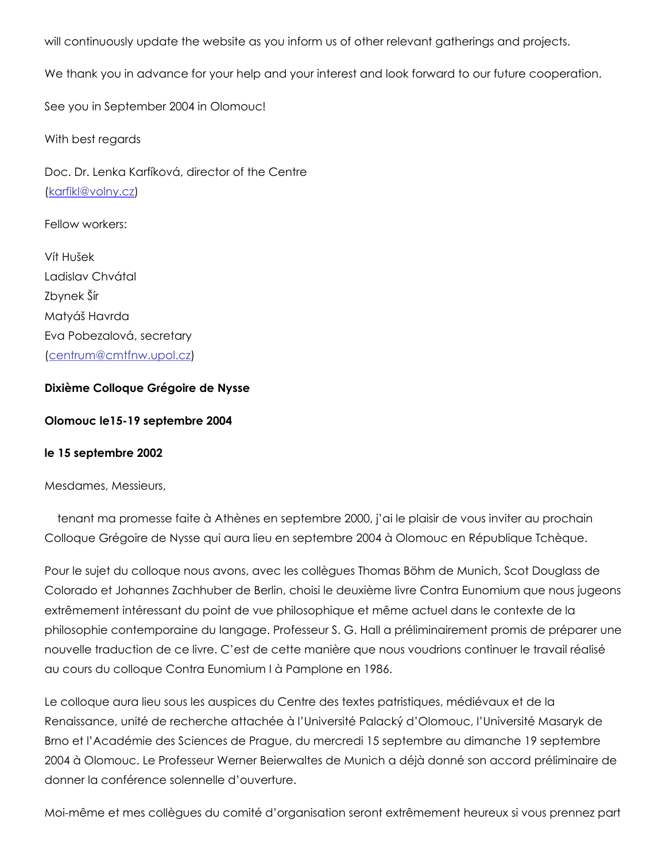will continuously update the website as you inform us of other relevant gatherings and projects.

We thank you in advance for your help and your interest and look forward to our future cooperation.

See you in September 2004 in Olomouc!

With best regards

Doc. Dr. Lenka Karfíková, director of the Centre ([karfikl@volny.cz\)](mailto:karfikl@volny.cz)

Fellow workers:

Vít Hušek Ladislav Chvátal Zbynek Šír Matyáš Havrda Eva Pobezalová, secretary ([centrum@cmtfnw.upol.cz](mailto:centrum@cmtfnw.upol.cz))

#### Dixième Colloque Grégoire de Nysse

#### Olomouc le1519 septembre 2004

#### le 15 septembre 2002

Mesdames, Messieurs,

tenant ma promesse faite à Athènes en septembre 2000, j'ai le plaisir de vous inviter au prochain Colloque Grégoire de Nysse qui aura lieu en septembre 2004 à Olomouc en République Tchèque.

Pour le sujet du colloque nous avons, avec les collègues Thomas Böhm de Munich, Scot Douglass de Colorado et Johannes Zachhuber de Berlin, choisi le deuxième livre Contra Eunomium que nous jugeons extrêmement intéressant du point de vue philosophique et même actuel dans le contexte de la philosophie contemporaine du langage. Professeur S. G. Hall a préliminairement promis de préparer une nouvelle traduction de ce livre. C'est de cette manière que nous voudrions continuer le travail réalisé au cours du colloque Contra Eunomium I à Pamplone en 1986.

Le colloque aura lieu sous les auspices du Centre des textes patristiques, médiévaux et de la Renaissance, unité de recherche attachée à l'Université Palacký d'Olomouc, l'Université Masaryk de Brno et l'Académie des Sciences de Prague, du mercredi 15 septembre au dimanche 19 septembre 2004 à Olomouc. Le Professeur Werner Beierwaltes de Munich a déjà donné son accord préliminaire de donner la conférence solennelle d'ouverture.

Moimême et mes collègues du comité d'organisation seront extrêmement heureux si vous prennez part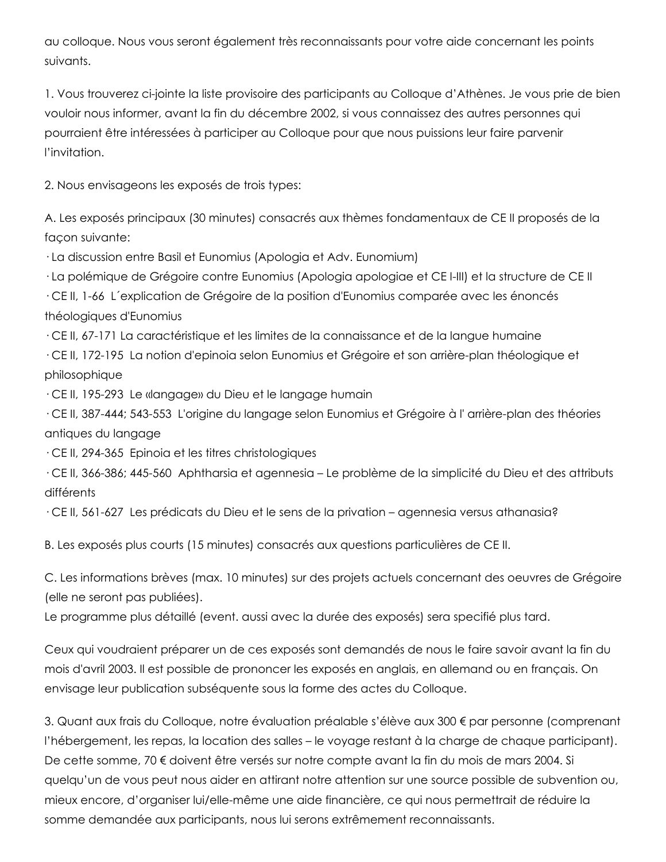au colloque. Nous vous seront également très reconnaissants pour votre aide concernant les points suivants.

1. Vous trouverez cijointe la liste provisoire des participants au Colloque d'Athènes. Je vous prie de bien vouloir nous informer, avant la fin du décembre 2002, si vous connaissez des autres personnes qui pourraient être intéressées à participer au Colloque pour que nous puissions leur faire parvenir l'invitation.

2. Nous envisageons les exposés de trois types:

A. Les exposés principaux (30 minutes) consacrés aux thèmes fondamentaux de CE II proposés de la façon suivante:

· La discussion entre Basil et Eunomius (Apologia et Adv. Eunomium)

· La polémique de Grégoire contre Eunomius (Apologia apologiae et CE IIII) et la structure de CE II

· CE II, 166 L´explication de Grégoire de la position d'Eunomius comparée avec les énoncés théologiques d'Eunomius

· CE II, 67171 La caractéristique et les limites de la connaissance et de la langue humaine

· CE II, 172195 La notion d'epinoia selon Eunomius et Grégoire et son arrièreplan théologique et philosophique

· CE II, 195293 Le «langage» du Dieu et le langage humain

· CE II, 387444; 543553 L'origine du langage selon Eunomius et Grégoire à l' arrièreplan des théories antiques du langage

· CE II, 294365 Epinoia et les titres christologiques

· CE II, 366386; 445560 Aphtharsia et agennesia – Le problème de la simplicité du Dieu et des attributs différents

· CE II, 561627 Les prédicats du Dieu et le sens de la privation – agennesia versus athanasia?

B. Les exposés plus courts (15 minutes) consacrés aux questions particulières de CE II.

C. Les informations brèves (max. 10 minutes) sur des projets actuels concernant des oeuvres de Grégoire (elle ne seront pas publiées).

Le programme plus détaillé (event. aussi avec la durée des exposés) sera specifié plus tard.

Ceux qui voudraient préparer un de ces exposés sont demandés de nous le faire savoir avant la fin du mois d'avril 2003. Il est possible de prononcer les exposés en anglais, en allemand ou en français. On envisage leur publication subséquente sous la forme des actes du Colloque.

3. Quant aux frais du Colloque, notre évaluation préalable s'élève aux 300 € par personne (comprenant l'hébergement, les repas, la location des salles – le voyage restant à la charge de chaque participant). De cette somme, 70 € doivent être versés sur notre compte avant la fin du mois de mars 2004. Si quelqu'un de vous peut nous aider en attirant notre attention sur une source possible de subvention ou, mieux encore, d'organiser lui/ellemême une aide financière, ce qui nous permettrait de réduire la somme demandée aux participants, nous lui serons extrêmement reconnaissants.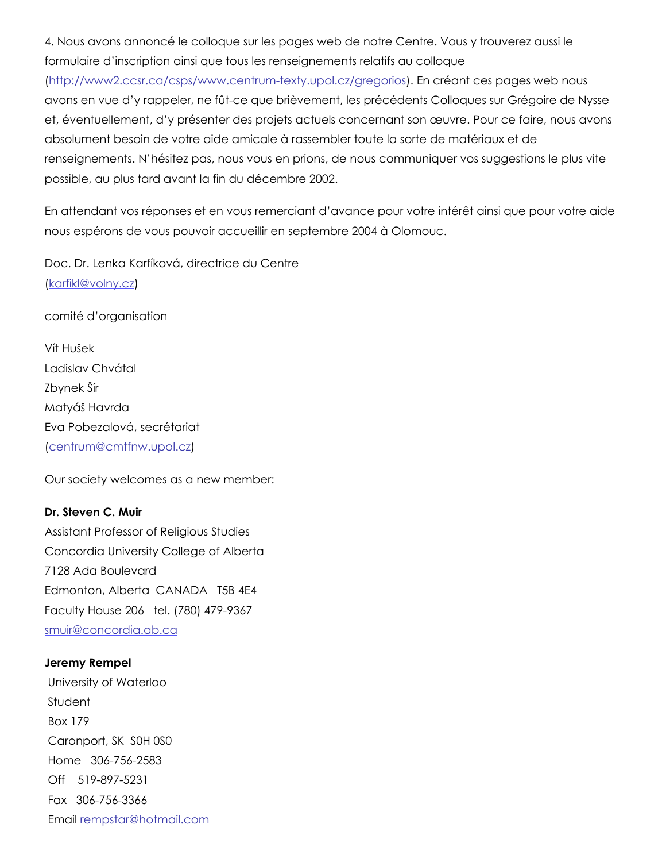4. Nous avons annoncé le colloque sur les pages web de notre Centre. Vous y trouverez aussi le formulaire d'inscription ainsi que tous les renseignements relatifs au colloque

(http://www2.ccsr.ca/csps/www.centrum-texty.upol.cz/gregorios). En créant ces pages web nous avons en vue d'y rappeler, ne fût-ce que brièvement, les précédents Colloques sur Grégoire de Nysse et, éventuellement, d'y présenter des projets actuels concernant son œuvre. Pour ce faire, nous avons absolument besoin de votre aide amicale à rassembler toute la sorte de matériaux et de renseignements. N'hésitez pas, nous vous en prions, de nous communiquer vos suggestions le plus vite possible, au plus tard avant la fin du décembre 2002.

En attendant vos réponses et en vous remerciant d'avance pour votre intérêt ainsi que pour votre aide nous espérons de vous pouvoir accueillir en septembre 2004 à Olomouc.

Doc. Dr. Lenka Karfíková, directrice du Centre ([karfikl@volny.cz\)](mailto:karfikl@volny.cz)

comité d'organisation

Vít Hušek Ladislav Chvátal Zbynek Šír Matyáš Havrda Eva Pobezalová, secrétariat ([centrum@cmtfnw.upol.cz](mailto:centrum@cmtfnw.upol.cz))

Our society welcomes as a new member:

Dr. Steven C. Muir Assistant Professor of Religious Studies Concordia University College of Alberta 7128 Ada Boulevard Edmonton, Alberta CANADA T5B 4E4 Faculty House 206 tel. (780) 479-9367 [smuir@concordia.ab.ca](mailto:smuir@concordia.ab.ca)

Jeremy Rempel University of Waterloo **Student** Box 179 Caronport, SK S0H 0S0 Home 306-756-2583 Off 519-897-5231 Fax 306-756-3366 Email [rempstar@hotmail.com](mailto:rempstar@hotmail.com)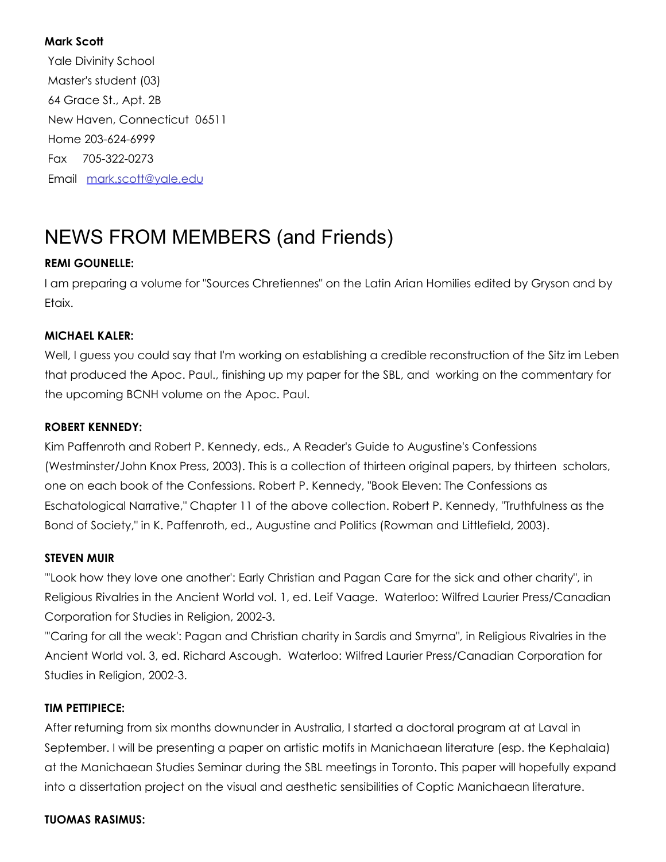### Mark Scott

Yale Divinity School Master's student (03) 64 Grace St., Apt. 2B New Haven, Connecticut 06511 Home 203-624-6999 Fax 705-322-0273 Email [mark.scott@yale.edu](mailto:mark.scott@yale.edu)

# NEWS FROM MEMBERS (and Friends)

### REMI GOUNELLE:

I am preparing a volume for "Sources Chretiennes" on the Latin Arian Homilies edited by Gryson and by Etaix.

### MICHAEL KALER:

Well, I guess you could say that I'm working on establishing a credible reconstruction of the Sitz im Leben that produced the Apoc. Paul., finishing up my paper for the SBL, and working on the commentary for the upcoming BCNH volume on the Apoc. Paul.

### ROBERT KENNEDY:

Kim Paffenroth and Robert P. Kennedy, eds., A Reader's Guide to Augustine's Confessions (Westminster/John Knox Press, 2003). This is a collection of thirteen original papers, by thirteen scholars, one on each book of the Confessions. Robert P. Kennedy, "Book Eleven: The Confessions as Eschatological Narrative," Chapter 11 of the above collection. Robert P. Kennedy, "Truthfulness as the Bond of Society," in K. Paffenroth, ed., Augustine and Politics (Rowman and Littlefield, 2003).

### STEVEN MUIR

"'Look how they love one another': Early Christian and Pagan Care for the sick and other charity", in Religious Rivalries in the Ancient World vol. 1, ed. Leif Vaage. Waterloo: Wilfred Laurier Press/Canadian Corporation for Studies in Religion, 2002-3.

"'Caring for all the weak': Pagan and Christian charity in Sardis and Smyrna", in Religious Rivalries in the Ancient World vol. 3, ed. Richard Ascough. Waterloo: Wilfred Laurier Press/Canadian Corporation for Studies in Religion, 2002-3.

### TIM PETTIPIECE:

After returning from six months downunder in Australia, I started a doctoral program at at Laval in September. I will be presenting a paper on artistic motifs in Manichaean literature (esp. the Kephalaia) at the Manichaean Studies Seminar during the SBL meetings in Toronto. This paper will hopefully expand into a dissertation project on the visual and aesthetic sensibilities of Coptic Manichaean literature.

### TUOMAS RASIMUS: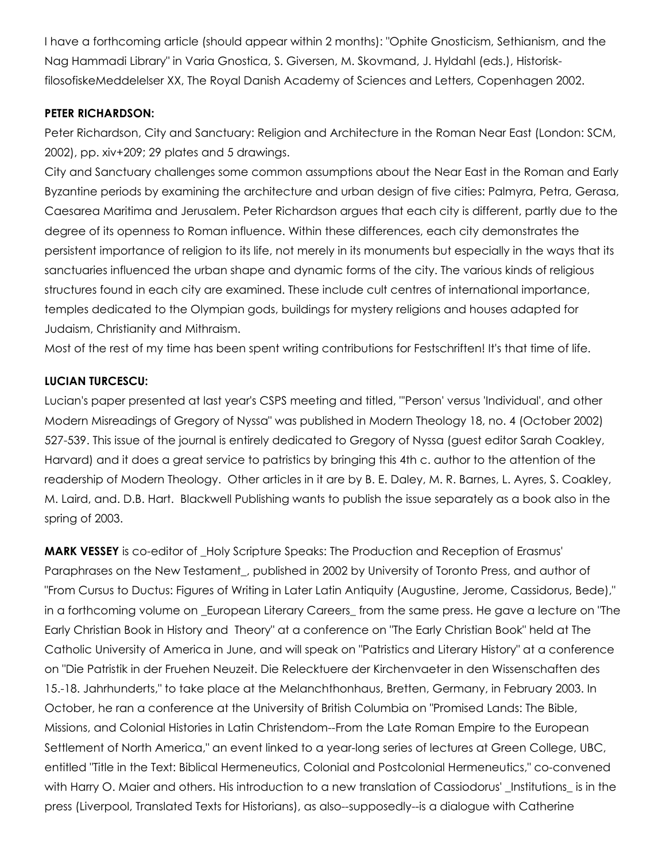I have a forthcoming article (should appear within 2 months): "Ophite Gnosticism, Sethianism, and the Nag Hammadi Library" in Varia Gnostica, S. Giversen, M. Skovmand, J. Hyldahl (eds.), HistoriskfilosofiskeMeddelelser XX, The Royal Danish Academy of Sciences and Letters, Copenhagen 2002.

### PETER RICHARDSON:

Peter Richardson, City and Sanctuary: Religion and Architecture in the Roman Near East (London: SCM, 2002), pp. xiv+209; 29 plates and 5 drawings.

City and Sanctuary challenges some common assumptions about the Near East in the Roman and Early Byzantine periods by examining the architecture and urban design of five cities: Palmyra, Petra, Gerasa, Caesarea Maritima and Jerusalem. Peter Richardson argues that each city is different, partly due to the degree of its openness to Roman influence. Within these differences, each city demonstrates the persistent importance of religion to its life, not merely in its monuments but especially in the ways that its sanctuaries influenced the urban shape and dynamic forms of the city. The various kinds of religious structures found in each city are examined. These include cult centres of international importance, temples dedicated to the Olympian gods, buildings for mystery religions and houses adapted for Judaism, Christianity and Mithraism.

Most of the rest of my time has been spent writing contributions for Festschriften! It's that time of life.

### LUCIAN TURCESCU:

Lucian's paper presented at last year's CSPS meeting and titled, "'Person' versus 'Individual', and other Modern Misreadings of Gregory of Nyssa" was published in Modern Theology 18, no. 4 (October 2002) 527539. This issue of the journal is entirely dedicated to Gregory of Nyssa (guest editor Sarah Coakley, Harvard) and it does a great service to patristics by bringing this 4th c. author to the attention of the readership of Modern Theology. Other articles in it are by B. E. Daley, M. R. Barnes, L. Ayres, S. Coakley, M. Laird, and. D.B. Hart. Blackwell Publishing wants to publish the issue separately as a book also in the spring of 2003.

**MARK VESSEY** is co-editor of \_Holy Scripture Speaks: The Production and Reception of Erasmus' Paraphrases on the New Testament\_, published in 2002 by University of Toronto Press, and author of "From Cursus to Ductus: Figures of Writing in Later Latin Antiquity (Augustine, Jerome, Cassidorus, Bede)," in a forthcoming volume on \_European Literary Careers\_ from the same press. He gave a lecture on "The Early Christian Book in History and Theory" at a conference on "The Early Christian Book" held at The Catholic University of America in June, and will speak on "Patristics and Literary History" at a conference on "Die Patristik in der Fruehen Neuzeit. Die Relecktuere der Kirchenvaeter in den Wissenschaften des 15.18. Jahrhunderts," to take place at the Melanchthonhaus, Bretten, Germany, in February 2003. In October, he ran a conference at the University of British Columbia on "Promised Lands: The Bible, Missions, and Colonial Histories in Latin Christendom-From the Late Roman Empire to the European Settlement of North America," an event linked to a year-long series of lectures at Green College, UBC, entitled "Title in the Text: Biblical Hermeneutics, Colonial and Postcolonial Hermeneutics," coconvened with Harry O. Maier and others. His introduction to a new translation of Cassiodorus' Institutions is in the press (Liverpool, Translated Texts for Historians), as also--supposedly--is a dialogue with Catherine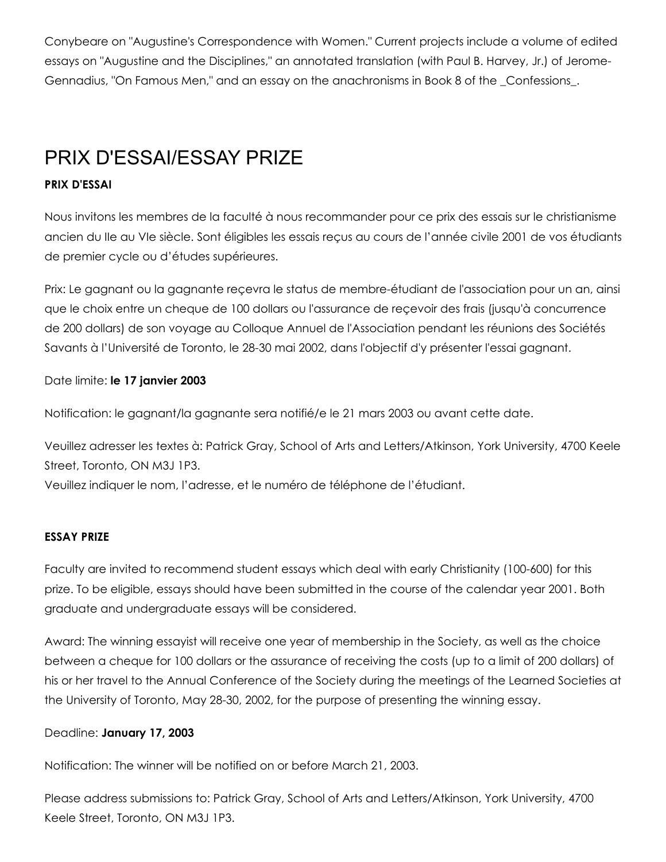Conybeare on "Augustine's Correspondence with Women." Current projects include a volume of edited essays on "Augustine and the Disciplines," an annotated translation (with Paul B. Harvey, Jr.) of Jerome-Gennadius, "On Famous Men," and an essay on the anachronisms in Book 8 of the \_Confessions\_.

# PRIX D'ESSAI/ESSAY PRIZE

### PRIX D'ESSAI

Nous invitons les membres de la faculté à nous recommander pour ce prix des essais sur le christianisme ancien du IIe au VIe siècle. Sont éligibles les essais reçus au cours de l'année civile 2001 de vos étudiants de premier cycle ou d'études supérieures.

Prix: Le gagnant ou la gagnante reçevra le status de membreétudiant de l'association pour un an, ainsi que le choix entre un cheque de 100 dollars ou l'assurance de reçevoir des frais (jusqu'à concurrence de 200 dollars) de son voyage au Colloque Annuel de l'Association pendant les réunions des Sociétés Savants à l'Université de Toronto, le 28-30 mai 2002, dans l'objectif d'y présenter l'essai gagnant.

Date limite: le 17 janvier 2003

Notification: le gagnant/la gagnante sera notifié/e le 21 mars 2003 ou avant cette date.

Veuillez adresser les textes à: Patrick Gray, School of Arts and Letters/Atkinson, York University, 4700 Keele Street, Toronto, ON M3J 1P3.

Veuillez indiquer le nom, l'adresse, et le numéro de téléphone de l'étudiant.

### ESSAY PRIZE

Faculty are invited to recommend student essays which deal with early Christianity (100-600) for this prize. To be eligible, essays should have been submitted in the course of the calendar year 2001. Both graduate and undergraduate essays will be considered.

Award: The winning essayist will receive one year of membership in the Society, as well as the choice between a cheque for 100 dollars or the assurance of receiving the costs (up to a limit of 200 dollars) of his or her travel to the Annual Conference of the Society during the meetings of the Learned Societies at the University of Toronto, May 2830, 2002, for the purpose of presenting the winning essay.

### Deadline: January 17, 2003

Notification: The winner will be notified on or before March 21, 2003.

Please address submissions to: Patrick Gray, School of Arts and Letters/Atkinson, York University, 4700 Keele Street, Toronto, ON M3J 1P3.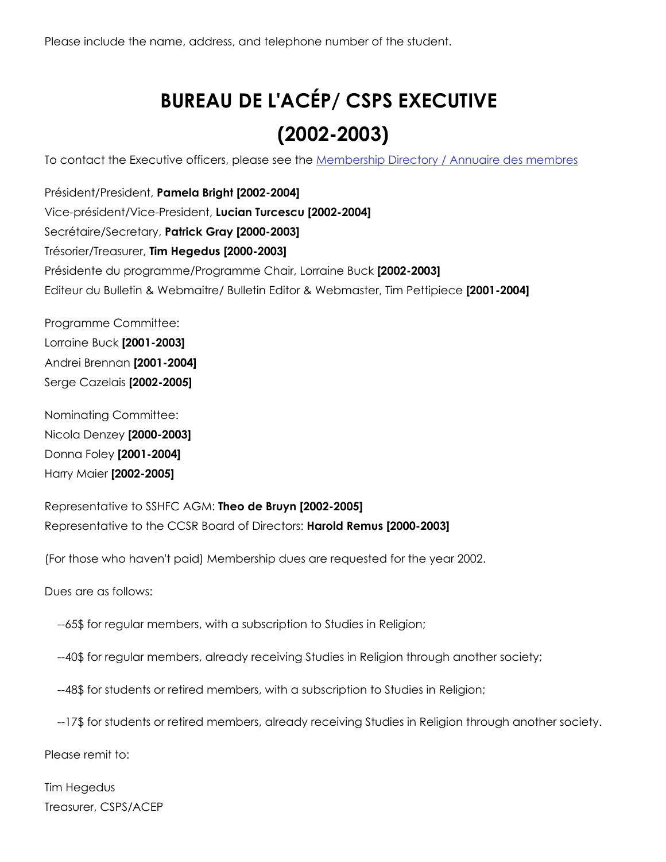Please include the name, address, and telephone number of the student.

# BUREAU DE L'ACÉP/ CSPS EXECUTIVE  $(2002 - 2003)$

To contact the Executive officers, please see the [Membership](http://web.archive.org/web/20150201000946/http://www2.ccsr.ca/csps/director.html) Directory / Annuaire des membres

Président/President, Pamela Bright [2002-2004] Vice-président/Vice-President, Lucian Turcescu [2002-2004] Secrétaire/Secretary, Patrick Gray [2000-2003] Trésorier/Treasurer, Tim Hegedus [2000-2003] Présidente du programme/Programme Chair, Lorraine Buck [2002-2003] Editeur du Bulletin & Webmaitre/ Bulletin Editor & Webmaster, Tim Pettipiece [2001-2004]

Programme Committee: Lorraine Buck [2001-2003] Andrei Brennan [2001-2004] Serge Cazelais [2002-2005]

Nominating Committee: Nicola Denzey [2000-2003] Donna Foley [2001-2004] Harry Maier [2002-2005]

Representative to SSHFC AGM: Theo de Bruyn [2002-2005] Representative to the CCSR Board of Directors: Harold Remus [2000-2003]

(For those who haven't paid) Membership dues are requested for the year 2002.

Dues are as follows:

65\$ for regular members, with a subscription to Studies in Religion;

40\$ for regular members, already receiving Studies in Religion through another society;

48\$ for students or retired members, with a subscription to Studies in Religion;

17\$ for students or retired members, already receiving Studies in Religion through another society.

Please remit to:

Tim Hegedus Treasurer, CSPS/ACEP